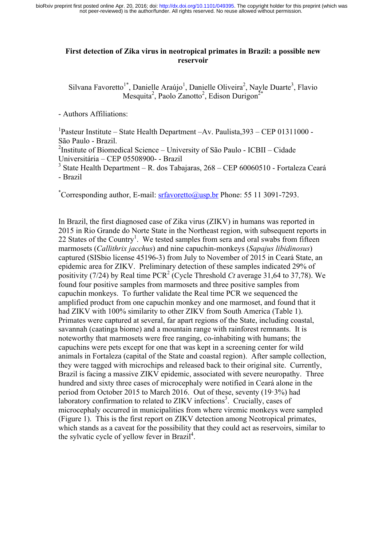not peer-reviewed) is the author/funder. All rights reserved. No reuse allowed without permission. bioRxiv preprint first posted online Apr. 20, 2016; doi: [http://dx.doi.org/10.1101/049395.](http://dx.doi.org/10.1101/049395) The copyright holder for this preprint (which was

## **First detection of Zika virus in neotropical primates in Brazil: a possible new reservoir**

Silvana Favoretto<sup>1\*</sup>, Danielle Araújo<sup>1</sup>, Danielle Oliveira<sup>2</sup>, Nayle Duarte<sup>3</sup>, Flavio Mesquita<sup>2</sup>, Paolo Zanotto<sup>2</sup>, Edison Durigon<sup>2\*</sup>

- Authors Affiliations:

<sup>1</sup>Pasteur Institute – State Health Department –Av. Paulista, 393 – CEP 01311000 -São Paulo - Brazil.

<sup>2</sup>Institute of Biomedical Science – University of São Paulo - ICBII – Cidade Universitária – CEP 05508900- - Brazil

<sup>3</sup> State Health Department – R. dos Tabajaras,  $268$  – CEP 60060510 - Fortaleza Ceará - Brazil

\* Corresponding author, E-mail: srfavoretto@usp.br Phone: 55 11 3091-7293.

In Brazil, the first diagnosed case of Zika virus (ZIKV) in humans was reported in 2015 in Rio Grande do Norte State in the Northeast region, with subsequent reports in 22 States of the Country<sup>1</sup>. We tested samples from sera and oral swabs from fifteen marmosets (*Callithrix jacchus*) and nine capuchin-monkeys (*Sapajus libidinosus*) captured (SISbio license 45196-3) from July to November of 2015 in Ceará State, an epidemic area for ZIKV. Preliminary detection of these samples indicated 29% of positivity (7/24) by Real time PCR<sup>2</sup> (Cycle Threshold *Ct* average 31,64 to 37,78). We found four positive samples from marmosets and three positive samples from capuchin monkeys. To further validate the Real time PCR we sequenced the amplified product from one capuchin monkey and one marmoset, and found that it had ZIKV with 100% similarity to other ZIKV from South America (Table 1). Primates were captured at several, far apart regions of the State, including coastal, savannah (caatinga biome) and a mountain range with rainforest remnants. It is noteworthy that marmosets were free ranging, co-inhabiting with humans; the capuchins were pets except for one that was kept in a screening center for wild animals in Fortaleza (capital of the State and coastal region). After sample collection, they were tagged with microchips and released back to their original site. Currently, Brazil is facing a massive ZIKV epidemic, associated with severe neuropathy. Three hundred and sixty three cases of microcephaly were notified in Ceará alone in the period from October 2015 to March 2016. Out of these, seventy (19·3%) had laboratory confirmation to related to ZIKV infections<sup>3</sup>. Crucially, cases of microcephaly occurred in municipalities from where viremic monkeys were sampled (Figure 1). This is the first report on ZIKV detection among Neotropical primates, which stands as a caveat for the possibility that they could act as reservoirs, similar to the sylvatic cycle of yellow fever in Brazil<sup>4</sup>.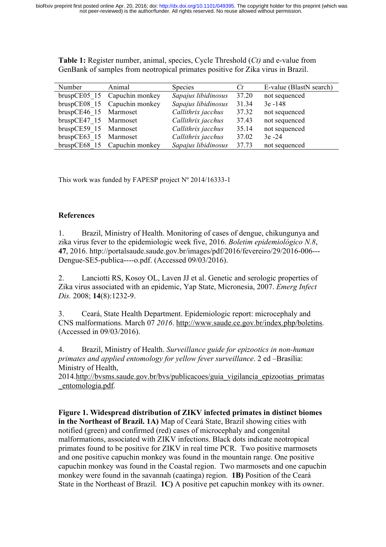| Number                | Animal                       | <b>Species</b>      | $C_t$ | E-value (BlastN search) |
|-----------------------|------------------------------|---------------------|-------|-------------------------|
|                       | bruspCE05 15 Capuchin monkey | Sapajus libidinosus | 37.20 | not sequenced           |
|                       | bruspCE08 15 Capuchin monkey | Sapajus libidinosus | 31.34 | $3e - 148$              |
| bruspCE46 15 Marmoset |                              | Callithrix jacchus  | 37.32 | not sequenced           |
| bruspCE47 15 Marmoset |                              | Callithrix jacchus  | 37.43 | not sequenced           |
| bruspCE59 15 Marmoset |                              | Callithrix jacchus  | 35.14 | not sequenced           |
| bruspCE63 15 Marmoset |                              | Callithrix jacchus  | 37.02 | $3e - 24$               |
|                       | bruspCE68 15 Capuchin monkey | Sapajus libidinosus | 37.73 | not sequenced           |

**Table 1:** Register number, animal, species, Cycle Threshold (*Ct)* and e-value from GenBank of samples from neotropical primates positive for Zika virus in Brazil.

This work was funded by FAPESP project  $N^{\circ}$  2014/16333-1

## **References**

1. Brazil, Ministry of Health. Monitoring of cases of dengue, chikungunya and zika virus fever to the epidemiologic week five, 2016. *Boletim epidemiológico N.8*, **47**, 2016. http://portalsaude.saude.gov.br/images/pdf/2016/fevereiro/29/2016-006--- Dengue-SE5-publica----o.pdf. (Accessed 09/03/2016).

2. Lanciotti RS, Kosoy OL, Laven JJ et al. Genetic and serologic properties of Zika virus associated with an epidemic, Yap State, Micronesia, 2007. *Emerg Infect Dis.* 2008; **14**(8):1232-9.

3. Ceará, State Health Department. Epidemiologic report: microcephaly and CNS malformations. March 07 *2016*. http://www.saude.ce.gov.br/index.php/boletins. (Accessed in 09/03/2016).

4. Brazil, Ministry of Health. *Surveillance guide for epizootics in non-human primates and applied entomology for yellow fever surveillance*. 2 ed –Brasília: Ministry of Health,

2014.http://bvsms.saude.gov.br/bvs/publicacoes/guia\_vigilancia\_epizootias\_primatas \_entomologia.pdf.

**Figure 1. Widespread distribution of ZIKV infected primates in distinct biomes in the Northeast of Brazil. 1A)** Map of Ceará State, Brazil showing cities with notified (green) and confirmed (red) cases of microcephaly and congenital malformations, associated with ZIKV infections. Black dots indicate neotropical primates found to be positive for ZIKV in real time PCR. Two positive marmosets and one positive capuchin monkey was found in the mountain range. One positive capuchin monkey was found in the Coastal region. Two marmosets and one capuchin monkey were found in the savannah (caatinga) region. **1B)** Position of the Ceará State in the Northeast of Brazil. **1C)** A positive pet capuchin monkey with its owner.